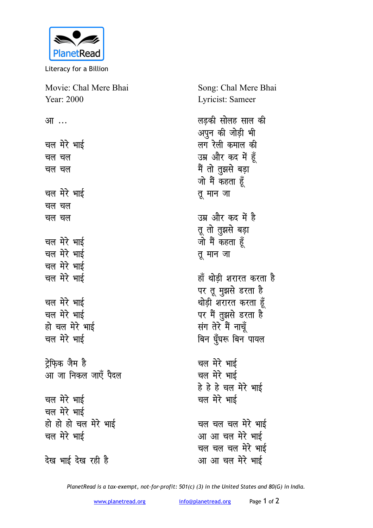

Literacy for a Billion

| Movie: Chal Mere Bhai | Song: Chal Mere Bhai                  |
|-----------------------|---------------------------------------|
| Year: 2000            | Lyricist: Sameer                      |
| आ …                   | लड़की सोलह साल की<br>अपुन की जोड़ी भी |
| चल मेरे भाई           | लग रेली कमाल की                       |
| चल चल                 | उम्र और कद में हूँ                    |
| चल चल                 | मैं तो तुझसे बड़ा                     |
|                       | जो मैं कहता हूँ                       |
| चल मेरे भाई           | तू मान जा                             |
| चल चल                 |                                       |
| चल चल                 | उम्र और कद में है                     |
|                       | तू तो तुझसे बड़ा                      |
| चल मेरे भाई           | जो मैं कहता हूँ                       |
| चल मेरे भाई           | तू मान जा                             |
| चल मेरे भाई           |                                       |
| चल मेरे भाई           | हाँ थोड़ी शरारत करता है               |
|                       | पर तू मुझसे डरता है                   |
| चल मेरे भाई           | थोड़ी शरारत करता हूँ                  |
| चल मेरे भाई           | पर मैं तुझसे डरता है                  |
| हो चल मेरे भाई        | संग तेरे मैं नाचूँ                    |
| चल मेरे भाई           | बिन घुँघरू बिन पायल                   |
| ट्रेफ़िक जैम है       | चल मेरे भाई                           |
| आ जा निकल जाएँ पैदल   | चल मेरे भाई                           |
|                       | हे हे हे चल मेरे भाई                  |
| चल मेरे भाई           | चल मेरे भाई                           |
| चल मेरे भाई           |                                       |
| हो हो हो चल मेरे भाई  | चल चल चल मेरे भाई                     |
| चल मेरे भाई           | आ आ चल मेरे भाई                       |
|                       | चल चल चल मेरे भाई                     |
| देख भाई देख रही है    | आ आ चल मेरे भाई                       |

PlanetRead is a tax-exempt, not-for-profit: 501(c) (3) in the United States and 80(G) in India.